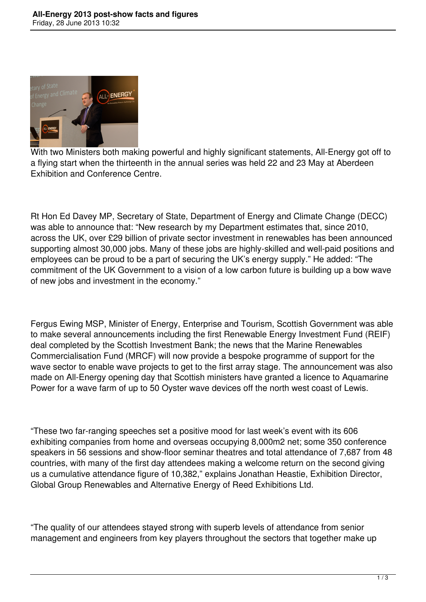

With two Ministers both making powerful and highly significant statements, All-Energy got off to a flying start when the thirteenth in the annual series was held 22 and 23 May at Aberdeen Exhibition and Conference Centre.

Rt Hon Ed Davey MP, Secretary of State, Department of Energy and Climate Change (DECC) was able to announce that: "New research by my Department estimates that, since 2010, across the UK, over £29 billion of private sector investment in renewables has been announced supporting almost 30,000 jobs. Many of these jobs are highly-skilled and well-paid positions and employees can be proud to be a part of securing the UK's energy supply." He added: "The commitment of the UK Government to a vision of a low carbon future is building up a bow wave of new jobs and investment in the economy."

Fergus Ewing MSP, Minister of Energy, Enterprise and Tourism, Scottish Government was able to make several announcements including the first Renewable Energy Investment Fund (REIF) deal completed by the Scottish Investment Bank; the news that the Marine Renewables Commercialisation Fund (MRCF) will now provide a bespoke programme of support for the wave sector to enable wave projects to get to the first array stage. The announcement was also made on All-Energy opening day that Scottish ministers have granted a licence to Aquamarine Power for a wave farm of up to 50 Oyster wave devices off the north west coast of Lewis.

"These two far-ranging speeches set a positive mood for last week's event with its 606 exhibiting companies from home and overseas occupying 8,000m2 net; some 350 conference speakers in 56 sessions and show-floor seminar theatres and total attendance of 7,687 from 48 countries, with many of the first day attendees making a welcome return on the second giving us a cumulative attendance figure of 10,382," explains Jonathan Heastie, Exhibition Director, Global Group Renewables and Alternative Energy of Reed Exhibitions Ltd.

"The quality of our attendees stayed strong with superb levels of attendance from senior management and engineers from key players throughout the sectors that together make up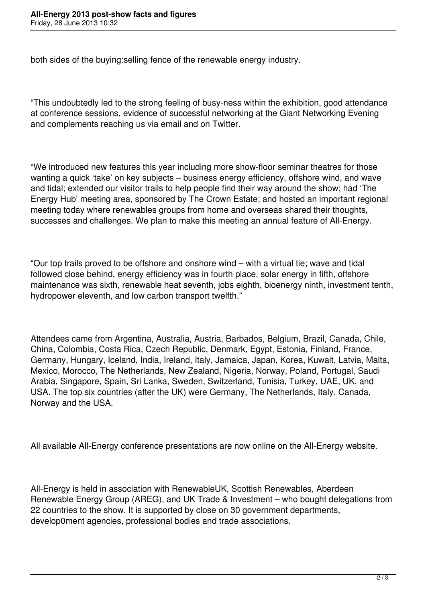both sides of the buying:selling fence of the renewable energy industry.

"This undoubtedly led to the strong feeling of busy-ness within the exhibition, good attendance at conference sessions, evidence of successful networking at the Giant Networking Evening and complements reaching us via email and on Twitter.

"We introduced new features this year including more show-floor seminar theatres for those wanting a quick 'take' on key subjects – business energy efficiency, offshore wind, and wave and tidal; extended our visitor trails to help people find their way around the show; had 'The Energy Hub' meeting area, sponsored by The Crown Estate; and hosted an important regional meeting today where renewables groups from home and overseas shared their thoughts, successes and challenges. We plan to make this meeting an annual feature of All-Energy.

"Our top trails proved to be offshore and onshore wind – with a virtual tie; wave and tidal followed close behind, energy efficiency was in fourth place, solar energy in fifth, offshore maintenance was sixth, renewable heat seventh, jobs eighth, bioenergy ninth, investment tenth, hydropower eleventh, and low carbon transport twelfth."

Attendees came from Argentina, Australia, Austria, Barbados, Belgium, Brazil, Canada, Chile, China, Colombia, Costa Rica, Czech Republic, Denmark, Egypt, Estonia, Finland, France, Germany, Hungary, Iceland, India, Ireland, Italy, Jamaica, Japan, Korea, Kuwait, Latvia, Malta, Mexico, Morocco, The Netherlands, New Zealand, Nigeria, Norway, Poland, Portugal, Saudi Arabia, Singapore, Spain, Sri Lanka, Sweden, Switzerland, Tunisia, Turkey, UAE, UK, and USA. The top six countries (after the UK) were Germany, The Netherlands, Italy, Canada, Norway and the USA.

All available All-Energy conference presentations are now online on the All-Energy website.

All-Energy is held in association with RenewableUK, Scottish Renewables, Aberdeen Renewable Energy Group (AREG), and UK Trade & Investment – who bought delegations from 22 countries to the show. It is supported by close on 30 government departments, develop0ment agencies, professional bodies and trade associations.